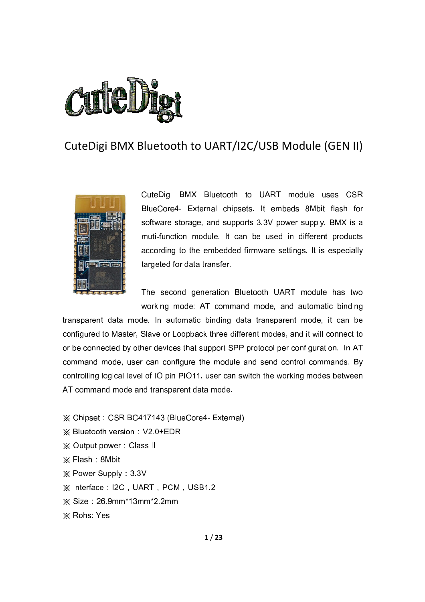

# CuteDigi BMX Bluetooth to UART/I2C/USB Module (GEN II)



CuteDigi BMX Bluetooth to UART module uses CSR BlueCore4- External chipsets. It embeds 8Mbit flash for software storage, and supports 3.3V power supply. BMX is a muti-function module. It can be used in different products according to the embedded firmware settings. It is especially targeted for data transfer.

The second generation Bluetooth UART module has two working mode: AT command mode, and automatic binding

transparent data mode. In automatic binding data transparent mode, it can be configured to Master, Slave or Loopback three different modes, and it will connect to or be connected by other devices that support SPP protocol per configuration. In AT command mode, user can configure the module and send control commands. By controlling logical level of IO pin PIO11, user can switch the working modes between AT command mode and transparent data mode.

※ Chipset: CSR BC417143 (BlueCore4- External)  $\frac{1}{2}$  Bluetooth version: V2.0+EDR ※ Output power: Class II  $\times$  Flash : 8Mbit  $\frac{1}{2}$  Power Supply : 3.3V  $\%$  Interface: I2C, UART, PCM, USB1.2  $%$  Size: 26.9mm\*13mm\*2.2mm ※ Rohs: Yes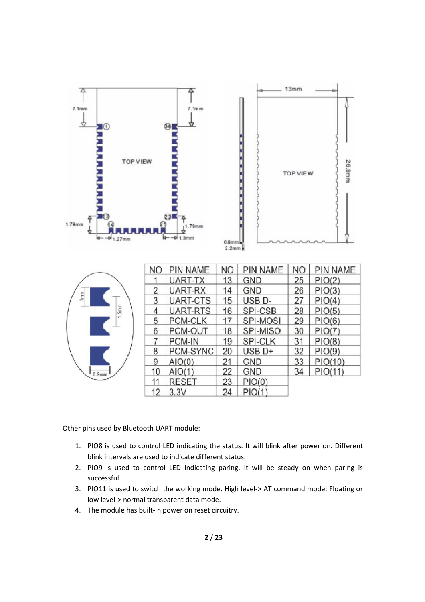

|                   | NO | <b>PIN NAME</b> | <b>NO</b> | PIN NAME           | NΟ | PIN NAME |
|-------------------|----|-----------------|-----------|--------------------|----|----------|
|                   |    | UART-TX         | 13        | <b>GND</b>         | 25 | PIO(2)   |
|                   | 2  | UART-RX         | 14        | <b>GND</b>         | 26 | PIO(3)   |
| $1$ mm            | 3  | UART-CTS        | 15        | USB <sub>D</sub> - | 27 | PIO(4)   |
| 5 <sub>m</sub>    | 4  | <b>UART-RTS</b> | 16        | SPI-CSB            | 28 | PIO(5)   |
|                   | 5  | <b>PCM-CLK</b>  | 17        | SPI-MOSI           | 29 | PIO(6)   |
|                   | 6  | PCM-OUT         | 18        | SPI-MISO           | 30 | PIO(7)   |
|                   |    | PCM-IN          | 19        | <b>SPI-CLK</b>     | 31 | PIO(8)   |
|                   | 8  | PCM-SYNC        | 20        | $USE D+$           | 32 | PIO(9)   |
|                   | 9  | AIO(0)          | 21        | <b>GND</b>         | 33 | PIO(10)  |
| 0.9 <sub>mm</sub> | 10 | AIO(1)          | 22        | GND                | 34 | PIO(11)  |
|                   | 11 | <b>RESET</b>    | 23        | PIO(0)             |    |          |
|                   | 12 | 3.3V            | 24        | PIO(1)             |    |          |

Other pins used by Bluetooth UART module:

- 1. PIO8 is used to control LED indicating the status. It will blink after power on. Different blink intervals are used to indicate different status.
- 2. PIO9 is used to control LED indicating paring. It will be steady on when paring is successful.
- 3. PIO11 is used to switch the working mode. High level-> AT command mode; Floating or low level-> normal transparent data mode.
- 4. The module has built-in power on reset circuitry.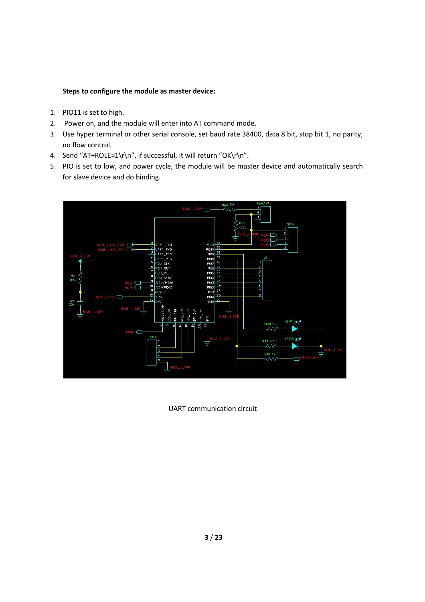# Steps to configure the module as master device:

- 1. PIO11 is set to high.
- 2. Power on, and the module will enter into AT command mode.
- 3. Use hyper terminal or other serial console, set baud rate 38400, data 8 bit, stop bit 1, no parity, no flow control.
- 4. Send "AT+ROLE=1\r\n", if successful, it will return "OK\r\n".
- 5. PIO is set to low, and power cycle, the module will be master device and automatically search for slave device and do binding.



UART communication circuit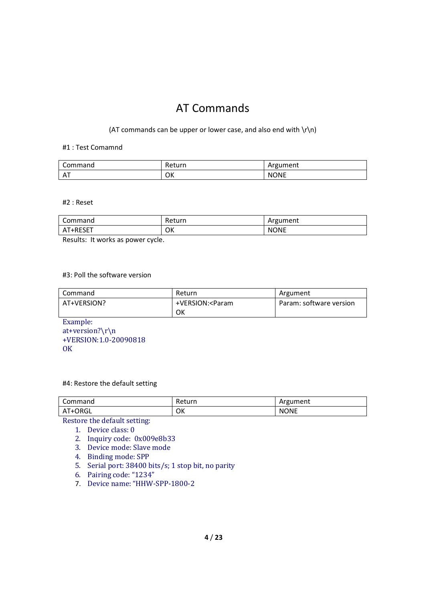# AT Commands

(AT commands can be upper or lower case, and also end with  $\lceil \cdot \rceil$ )

#### #1 : Test Comamnd

| Command | Return | Argument    |
|---------|--------|-------------|
| ΑT      | ОΚ     | <b>NONE</b> |

#2 : Reset

| $\sim$<br>Command | Return | Argument    |
|-------------------|--------|-------------|
| AT+RESET          | OK     | <b>NONE</b> |

Results: It works as power cycle.

#### #3: Poll the software version

| Command     | Return                                                            | Argument                |
|-------------|-------------------------------------------------------------------|-------------------------|
| AT+VERSION? | +VERSION: <param< td=""><td>Param: software version</td></param<> | Param: software version |
|             | ок                                                                |                         |

Example:

at+version?\r\n +VERSION:1.0-20090818 **OK** 

#### #4: Restore the default setting

| Command      | Return | Argument    |
|--------------|--------|-------------|
| T+ORGL<br>Αl | OK     | <b>NONE</b> |

Restore the default setting:

- 1. Device class: 0
- 2. Inquiry code: 0x009e8b33
- 3. Device mode: Slave mode
- 4. Binding mode: SPP
- 5. Serial port: 38400 bits/s; 1 stop bit, no parity
- 6. Pairing code: "1234"
- 7. Device name: "HHW-SPP-1800-2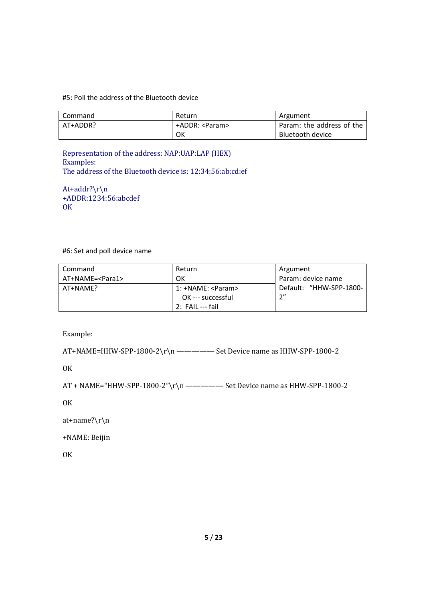#### #5: Poll the address of the Bluetooth device

| Command  | Return          | Argument                  |
|----------|-----------------|---------------------------|
| AT+ADDR? | +ADDR: <param/> | Param: the address of the |
|          | OK              | Bluetooth device          |

Representation of the address: NAP:UAP:LAP (HEX) Examples: The address of the Bluetooth device is: 12:34:56:ab:cd:ef

At+addr?\r\n +ADDR:1234:56:abcdef **OK** 

#6: Set and poll device name

| l Command                | Return             | Argument                |
|--------------------------|--------------------|-------------------------|
| AT+NAME= <para1></para1> | OK                 | Param: device name      |
| AT+NAME?                 | 1: +NAME: <param/> | Default: "HHW-SPP-1800- |
|                          | OK --- successful  | 2''                     |
|                          | 2: FAIL --- fail   |                         |

Example:

AT+NAME=HHW-SPP-1800-2\r\n ————— Set Device name as HHW-SPP-1800-2

**OK** 

AT + NAME="HHW-SPP-1800-2"\r\n ————— Set Device name as HHW-SPP-1800-2

OK

at+name?\r\n

+NAME: Beijin

**OK**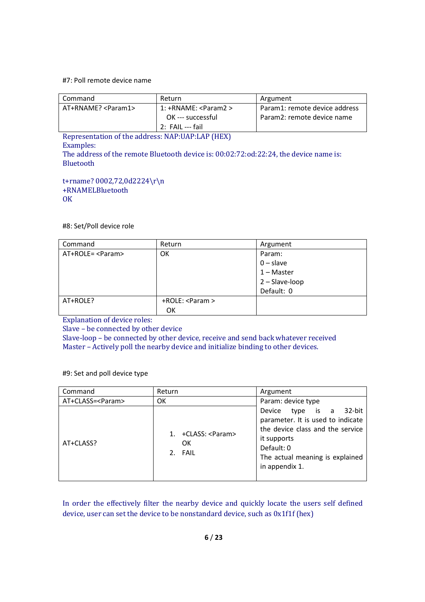#### #7: Poll remote device name

| Command                                                      | Return                 | Argument                      |  |
|--------------------------------------------------------------|------------------------|-------------------------------|--|
| AT+RNAME? <param1></param1>                                  | $1:+RNAME: <$ Param2 > | Param1: remote device address |  |
|                                                              | OK --- successful      | Param2: remote device name    |  |
|                                                              | 2: FAIL --- fail       |                               |  |
| Depressprinting of the address. $MAD.HAD. I AD. I H D (HEV)$ |                        |                               |  |

Representation of the address: NAP:UAP:LAP (HEX) Examples: The address of the remote Bluetooth device is: 00:02:72:od:22:24, the device name is: Bluetooth

t+rname? 0002,72,0d2224\r\n +RNAMELBluetooth **OK** 

#8: Set/Poll device role

| Command           | Return             | Argument         |
|-------------------|--------------------|------------------|
| AT+ROLE= <param/> | OК                 | Param:           |
|                   |                    | $0$ – slave      |
|                   |                    | $1 - Master$     |
|                   |                    | $2 - Slave-loop$ |
|                   |                    | Default: 0       |
| AT+ROLE?          | $+ROLE: <$ Param > |                  |
|                   | ок                 |                  |

Explanation of device roles:

Slave – be connected by other device

Slave-loop – be connected by other device, receive and send back whatever received Master – Actively poll the nearby device and initialize binding to other devices.

#9: Set and poll device type

| Command            | Return                                | Argument                                                                                                                                                                              |
|--------------------|---------------------------------------|---------------------------------------------------------------------------------------------------------------------------------------------------------------------------------------|
| AT+CLASS= <param/> | OK                                    | Param: device type                                                                                                                                                                    |
| AT+CLASS?          | 1. +CLASS: <param/><br>OK.<br>2. FAIL | type is a 32-bit<br>Device<br>parameter. It is used to indicate<br>the device class and the service<br>it supports<br>Default: 0<br>The actual meaning is explained<br>in appendix 1. |

In order the effectively filter the nearby device and quickly locate the users self defined device, user can set the device to be nonstandard device, such as 0x1f1f (hex)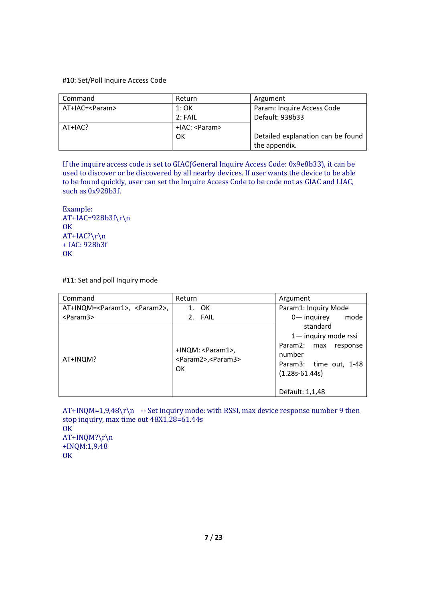#### #10: Set/Poll Inquire Access Code

| Command          | Return              | Argument                          |
|------------------|---------------------|-----------------------------------|
| AT+IAC= <param/> | 1:OK                | Param: Inquire Access Code        |
|                  | 2:FAIL              | Default: 938b33                   |
| AT+IAC?          | $+$ IAC: $<$ Param> |                                   |
|                  | OK                  | Detailed explanation can be found |
|                  |                     | the appendix.                     |

If the inquire access code is set to GIAC(General Inquire Access Code: 0x9e8b33), it can be used to discover or be discovered by all nearby devices. If user wants the device to be able to be found quickly, user can set the Inquire Access Code to be code not as GIAC and LIAC, such as 0x928b3f.

Example:  $AT+IAC=928b3f\$ OK  $AT+IAC? \r\n\$ + IAC: 928b3f **OK** 

#11: Set and poll Inquiry mode

| Command                                        | Return                                                                          | Argument                                                                                                                                 |
|------------------------------------------------|---------------------------------------------------------------------------------|------------------------------------------------------------------------------------------------------------------------------------------|
| AT+INQM= <param1>, <param2>,</param2></param1> | <b>OK</b><br>1.                                                                 | Param1: Inquiry Mode                                                                                                                     |
| <param3></param3>                              | 2. FAIL                                                                         | $0$ — inquirey<br>mode                                                                                                                   |
| AT+INQM?                                       | +INQM: <param1>,<br/><param2>,<param3><br/><b>OK</b></param3></param2></param1> | standard<br>1-inquiry mode rssi<br>Param2:<br>response<br>max<br>number<br>Param3: time out, 1-48<br>$(1.28s-61.44s)$<br>Default: 1,1,48 |

 $AT+INQM=1,9,48\r\n\$  -- Set inquiry mode: with RSSI, max device response number 9 then stop inquiry, max time out 48X1.28=61.44s OK AT+INQM?\r\n +INQM:1,9,48 **OK**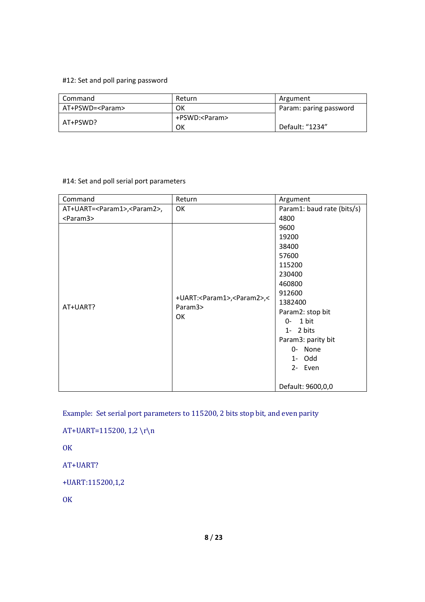### #12: Set and poll paring password

| Command           | Return          | Argument               |
|-------------------|-----------------|------------------------|
| AT+PSWD= <param/> | ок              | Param: paring password |
|                   | +PSWD: <param/> |                        |
| AT+PSWD?          | ок              | Default: "1234"        |

# #14: Set and poll serial port parameters

| Command                                       | Return                                                                | Argument                                                           |
|-----------------------------------------------|-----------------------------------------------------------------------|--------------------------------------------------------------------|
| AT+UART= <param1>,<param2>,</param2></param1> | OK                                                                    | Param1: baud rate (bits/s)                                         |
| <param3></param3>                             |                                                                       | 4800<br>9600<br>19200                                              |
|                                               | +UART: <param1>,<param2>,&lt;<br/>Param3&gt;<br/>OK</param2></param1> | 38400<br>57600<br>115200<br>230400                                 |
| AT+UART?                                      |                                                                       | 460800<br>912600<br>1382400<br>Param2: stop bit<br>1 bit<br>0-     |
|                                               |                                                                       | $1 - 2 bits$<br>Param3: parity bit<br>0- None<br>1- Odd<br>2- Even |
|                                               |                                                                       | Default: 9600,0,0                                                  |

Example: Set serial port parameters to 115200, 2 bits stop bit, and even parity

AT+UART=115200, 1,2 \r\n

**OK** 

AT+UART?

+UART:115200,1,2

**OK**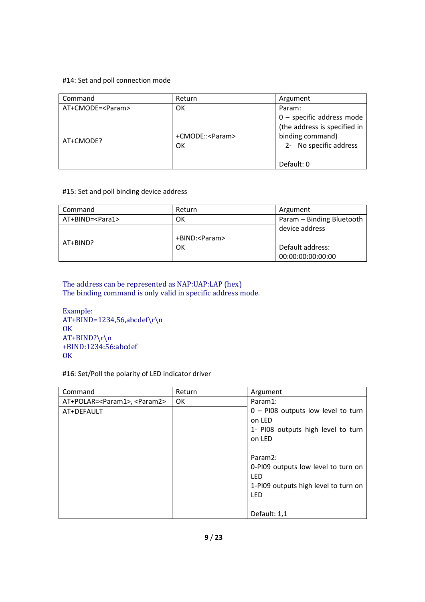#### #14: Set and poll connection mode

| Command            | Return                  | Argument                                                                                                  |
|--------------------|-------------------------|-----------------------------------------------------------------------------------------------------------|
| AT+CMODE= <param/> | ОΚ                      | Param:                                                                                                    |
| AT+CMODE?          | +CMODE:: <param/><br>OK | $0$ – specific address mode<br>(the address is specified in<br>binding command)<br>2- No specific address |
|                    |                         | Default: 0                                                                                                |

### #15: Set and poll binding device address

| Command                  | Return          | Argument                  |
|--------------------------|-----------------|---------------------------|
| AT+BIND= <para1></para1> | OΚ              | Param - Binding Bluetooth |
|                          |                 | device address            |
| AT+BIND?                 | +BIND: <param/> |                           |
|                          | ОК              | Default address:          |
|                          |                 | 00:00:00:00:00:00         |

### The address can be represented as NAP:UAP:LAP (hex) The binding command is only valid in specific address mode.

```
Example: 
AT+BIND=1234,56,abcdef\r\n\OK
AT+BIND? \r\n\+BIND:1234:56:abcdef 
OK
```
#16: Set/Poll the polarity of LED indicator driver

| Command                                        | Return | Argument                                                                                                         |
|------------------------------------------------|--------|------------------------------------------------------------------------------------------------------------------|
| AT+POLAR= <param1>, <param2></param2></param1> | 0K     | Param1:                                                                                                          |
| AT+DEFAULT                                     |        | $0$ – PI08 outputs low level to turn<br>on LED<br>1- PI08 outputs high level to turn<br>on LED                   |
|                                                |        | Param <sub>2:</sub><br>0-PI09 outputs low level to turn on<br>LED<br>1-PI09 outputs high level to turn on<br>LED |
|                                                |        | Default: 1,1                                                                                                     |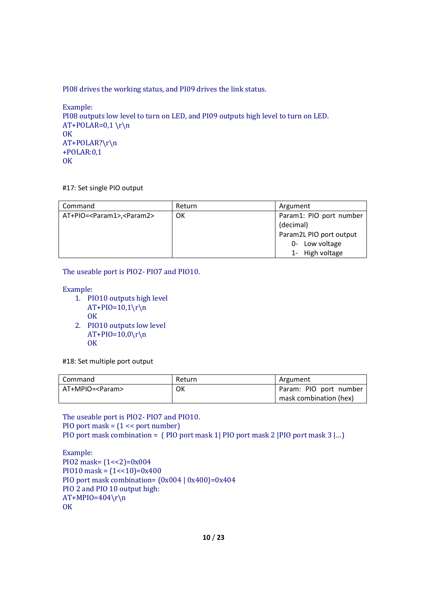PI08 drives the working status, and PI09 drives the link status.

```
Example: 
PI08 outputs low level to turn on LED, and PI09 outputs high level to turn on LED. 
AT+POLAR=0,1 \r\n\OK
AT+POLAR?\r\n 
+POLAR:0,1 
OK
```
#17: Set single PIO output

| Command                                     | Return | Argument                |
|---------------------------------------------|--------|-------------------------|
| AT+PIO= <param1>,<param2></param2></param1> | ок     | Param1: PIO port number |
|                                             |        | (decimal)               |
|                                             |        | Param2L PIO port output |
|                                             |        | 0- Low voltage          |
|                                             |        | 1- High voltage         |

The useable port is PIO2- PIO7 and PIO10.

Example:

- 1. PIO10 outputs high level  $AT+PIO=10,1\$ r\n **OK**
- 2. PIO10 outputs low level  $AT+PIO=10,0\$ r\n **OK**

#18: Set multiple port output

| Command           | Return | Argument               |
|-------------------|--------|------------------------|
| AT+MPIO= <param/> | ОΚ     | Param: PIO port number |
|                   |        | mask combination (hex) |

The useable port is PIO2- PIO7 and PIO10. PIO port mask = (1 << port number) PIO port mask combination = ( PIO port mask 1| PIO port mask 2 |PIO port mask 3 |…)

```
Example: 
PIO2 mask=(1\le 2)=0x004PIO10 mask = (1 \le 10) = 0 \times 400PIO port mask combination= (0x004 | 0x400)=0x404
PIO 2 and PIO 10 output high: 
AT+MPIO=404\r\n\lnOK
```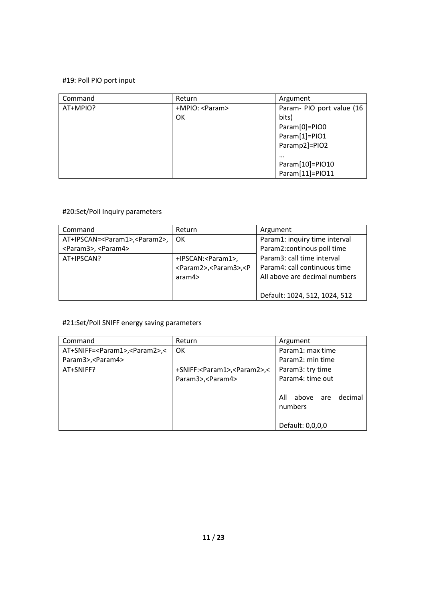# #19: Poll PIO port input

| Command  | Return          | Argument                  |
|----------|-----------------|---------------------------|
| AT+MPIO? | +MPIO: <param/> | Param- PIO port value (16 |
|          | OK              | bits)                     |
|          |                 | Param[0]=PIO0             |
|          |                 | Param[1]=PIO1             |
|          |                 | Paramp2]=PIO2             |
|          |                 | $\cdots$                  |
|          |                 | Param[10]=PIO10           |
|          |                 | Param[11]=PIO11           |

# #20:Set/Poll Inquiry parameters

| Command                                         | Return                                                                                   | Argument                      |
|-------------------------------------------------|------------------------------------------------------------------------------------------|-------------------------------|
| AT+IPSCAN= <param1>,<param2>,</param2></param1> | OK.                                                                                      | Param1: inquiry time interval |
| <param3>, <param4></param4></param3>            |                                                                                          | Param2: continous poll time   |
| AT+IPSCAN?                                      | +IPSCAN: <param1>,</param1>                                                              | Param3: call time interval    |
|                                                 | <param2>,<param3>,<p< td=""><td>Param4: call continuous time</td></p<></param3></param2> | Param4: call continuous time  |
|                                                 | aram4                                                                                    | All above are decimal numbers |
|                                                 |                                                                                          |                               |
|                                                 |                                                                                          | Default: 1024, 512, 1024, 512 |

# #21:Set/Poll SNIFF energy saving parameters

| Command                                            | Return                                           | Argument                               |
|----------------------------------------------------|--------------------------------------------------|----------------------------------------|
| AT+SNIFF= <param1>,<param2>,&lt;</param2></param1> | <b>OK</b>                                        | Param1: max time                       |
| Param3>, < Param4>                                 |                                                  | Param2: min time                       |
| AT+SNIFF?                                          | +SNIFF: <param1>,<param2>,&lt;</param2></param1> | Param3: try time                       |
|                                                    | Param3>, < Param4>                               | Param4: time out                       |
|                                                    |                                                  | All<br>decimal<br>above are<br>numbers |
|                                                    |                                                  | Default: 0,0,0,0                       |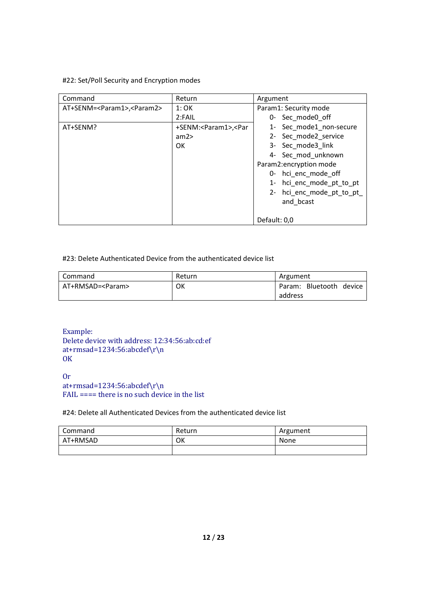# #22: Set/Poll Security and Encryption modes

| Command                                      | Return                                                                       | Argument                 |
|----------------------------------------------|------------------------------------------------------------------------------|--------------------------|
| AT+SENM= <param1>,<param2></param2></param1> | 1:OK                                                                         | Param1: Security mode    |
|                                              | 2:FAIL                                                                       | 0- Sec mode0 off         |
| AT+SENM?                                     | +SENM: <param1>,<par< td=""><td>1- Sec_mode1_non-secure</td></par<></param1> | 1- Sec_mode1_non-secure  |
|                                              | am2                                                                          | 2- Sec mode2 service     |
|                                              | OK.                                                                          | 3- Sec mode3 link        |
|                                              |                                                                              | 4- Sec_mod_unknown       |
|                                              |                                                                              | Param2:encryption mode   |
|                                              |                                                                              | 0- hci enc mode off      |
|                                              |                                                                              | 1- hci enc mode pt to pt |
|                                              |                                                                              | 2- hci enc mode pt to pt |
|                                              |                                                                              | and bcast                |
|                                              |                                                                              |                          |
|                                              |                                                                              | Default: 0,0             |

#### #23: Delete Authenticated Device from the authenticated device list

| Command            | Return | Argument                |
|--------------------|--------|-------------------------|
| AT+RMSAD= <param/> | ОΚ     | Param: Bluetooth device |
|                    |        | address                 |

Example: Delete device with address: 12:34:56:ab:cd:ef at+rmsad=1234:56:abcdef\r\n **OK** 

Or at+rmsad=1234:56:abcdef\r\n FAIL ==== there is no such device in the list

#24: Delete all Authenticated Devices from the authenticated device list

| Command  | Return | Argument |
|----------|--------|----------|
| AT+RMSAD | ОΚ     | None     |
|          |        |          |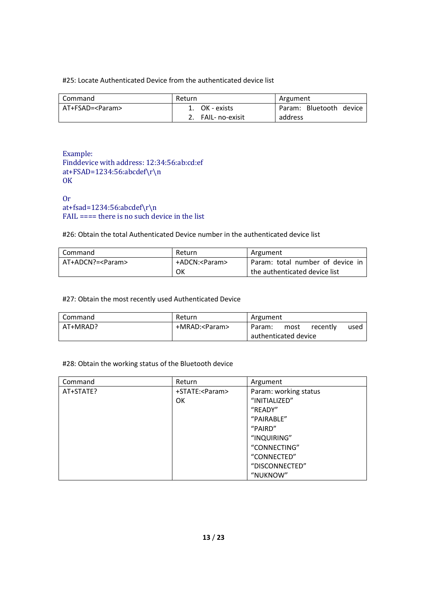### #25: Locate Authenticated Device from the authenticated device list

| Command           | Return          | Argument                |
|-------------------|-----------------|-------------------------|
| AT+FSAD= <param/> | OK - exists     | Param: Bluetooth device |
|                   | FAIL- no-exisit | address                 |

Example: Finddevice with address: 12:34:56:ab:cd:ef at+FSAD=1234:56:abcdef\r\n **OK** 

Or at+fsad=1234:56:abcdef\r\n  $FAIL == =$  there is no such device in the list

#26: Obtain the total Authenticated Device number in the authenticated device list

| l Command          | Return          | Argument                         |
|--------------------|-----------------|----------------------------------|
| AT+ADCN?= <param/> | +ADCN: <param/> | Param: total number of device in |
|                    | OK              | the authenticated device list    |

#### #27: Obtain the most recently used Authenticated Device

| Command  | Return          | Argument             |      |          |      |
|----------|-----------------|----------------------|------|----------|------|
| AT+MRAD? | +MRAD: <param/> | Param:               | most | recently | used |
|          |                 | authenticated device |      |          |      |

### #28: Obtain the working status of the Bluetooth device

| Command   | Return           | Argument              |
|-----------|------------------|-----------------------|
| AT+STATE? | +STATE: <param/> | Param: working status |
|           | <b>OK</b>        | "INITIALIZED"         |
|           |                  | "READY"               |
|           |                  | "PAIRABLE"            |
|           |                  | "PAIRD"               |
|           |                  | "INQUIRING"           |
|           |                  | "CONNECTING"          |
|           |                  | "CONNECTED"           |
|           |                  | "DISCONNECTED"        |
|           |                  | "NUKNOW"              |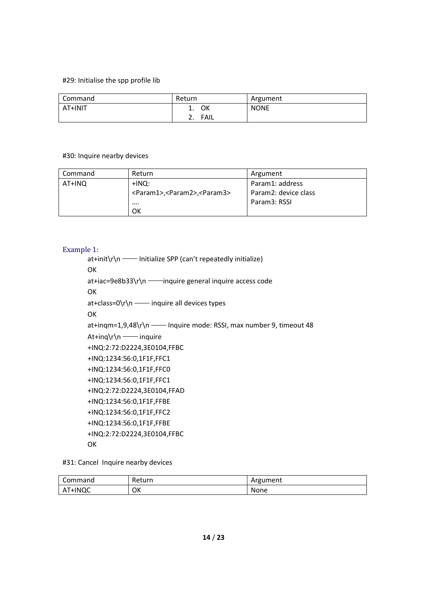#### #29: Initialise the spp profile lib

| Command | Return                     | Argument    |
|---------|----------------------------|-------------|
| AT+INIT | ΟК<br>ᆠ.                   | <b>NONE</b> |
|         | <b>FAIL</b><br><u>. . </u> |             |

#### #30: Inquire nearby devices

| Command | Return                                                | Argument             |
|---------|-------------------------------------------------------|----------------------|
| AT+INQ  | +INQ:                                                 | Param1: address      |
|         | <param1>,<param2>,<param3></param3></param2></param1> | Param2: device class |
|         | $\cdots$                                              | Param3: RSSI         |
|         | OK                                                    |                      |

### Example 1:

at+init\r\n —— Initialize SPP (can't repeatedly initialize) OK at+iac=9e8b33\r\n ——inquire general inquire access code OK at+class=0\r\n —— inquire all devices types OK at+inqm=1,9,48\r\n - Inquire mode: RSSI, max number 9, timeout 48 At+inq\r\n —— inquire +INQ:2:72:D2224,3E0104,FFBC +INQ:1234:56:0,1F1F,FFC1 +INQ:1234:56:0,1F1F,FFC0 +INQ:1234:56:0,1F1F,FFC1 +INQ:2:72:D2224,3E0104,FFAD +INQ:1234:56:0,1F1F,FFBE +INQ:1234:56:0,1F1F,FFC2 +INQ:1234:56:0,1F1F,FFBE +INQ:2:72:D2224,3E0104,FFBC **OK** 

#31: Cancel Inquire nearby devices

| Command | Return | Argument |
|---------|--------|----------|
| AT+INQC | ОK     | None     |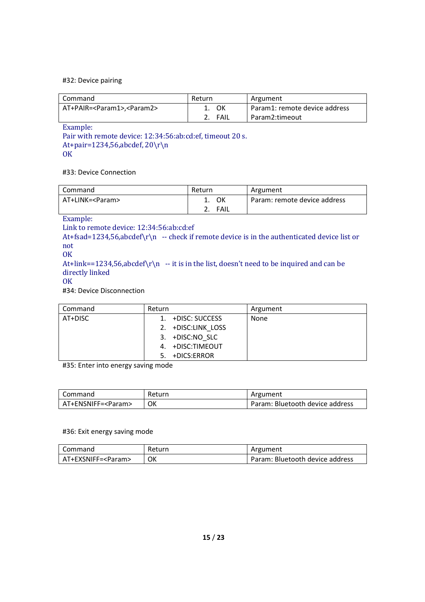#### #32: Device pairing

| l Command                                    | Return   | Argument                      |
|----------------------------------------------|----------|-------------------------------|
| AT+PAIR= <param1>,<param2></param2></param1> | ок<br>1. | Param1: remote device address |
|                                              | FAIL     | Param2:timeout                |

Example:

Pair with remote device: 12:34:56:ab:cd:ef, timeout 20 s. At+pair=1234,56,abcdef, 20\r\n **OK** 

#33: Device Connection

| Command           | Return |      | Argument                     |
|-------------------|--------|------|------------------------------|
| AT+LINK= <param/> |        | ок   | Param: remote device address |
|                   |        | FAIL |                              |

Example:

Link to remote device: 12:34:56:ab:cd:ef

At+fsad=1234,56,abcdef\r\n -- check if remote device is in the authenticated device list or not

**OK** 

At+link==1234,56,abcdef $\r \nightharpoonup$  -- it is in the list, doesn't need to be inquired and can be directly linked

**OK** 

#34: Device Disconnection

| Command | Return             | Argument |
|---------|--------------------|----------|
| AT+DISC | 1. +DISC: SUCCESS  | None     |
|         | 2. +DISC:LINK LOSS |          |
|         | 3. +DISC:NO SLC    |          |
|         | 4. +DISC:TIMEOUT   |          |
|         | 5. +DICS:ERROR     |          |

#35: Enter into energy saving mode

| Command              | Return | Argument                        |
|----------------------|--------|---------------------------------|
| AT+ENSNIFF= <param/> | OK     | Param: Bluetooth device address |

#### #36: Exit energy saving mode

| Command              | Return | Argument                        |
|----------------------|--------|---------------------------------|
| AT+EXSNIFF= <param/> | OK     | Param: Bluetooth device address |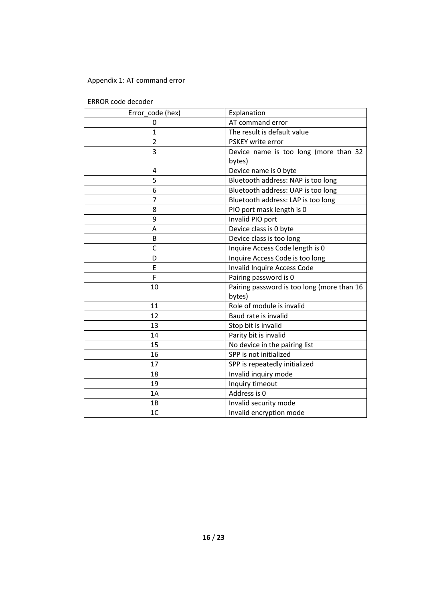# Appendix 1: AT command error

| Error_code (hex) | Explanation                                |
|------------------|--------------------------------------------|
| 0                | AT command error                           |
| 1                | The result is default value                |
| $\overline{2}$   | PSKEY write error                          |
| 3                | Device name is too long (more than 32      |
|                  | bytes)                                     |
| 4                | Device name is 0 byte                      |
| 5                | Bluetooth address: NAP is too long         |
| 6                | Bluetooth address: UAP is too long         |
| 7                | Bluetooth address: LAP is too long         |
| 8                | PIO port mask length is 0                  |
| 9                | Invalid PIO port                           |
| A                | Device class is 0 byte                     |
| B                | Device class is too long                   |
| C                | Inquire Access Code length is 0            |
| D                | Inquire Access Code is too long            |
| E                | Invalid Inquire Access Code                |
| F                | Pairing password is 0                      |
| 10               | Pairing password is too long (more than 16 |
|                  | bytes)                                     |
| 11               | Role of module is invalid                  |
| 12               | Baud rate is invalid                       |
| 13               | Stop bit is invalid                        |
| 14               | Parity bit is invalid                      |
| 15               | No device in the pairing list              |
| 16               | SPP is not initialized                     |
| 17               | SPP is repeatedly initialized              |
| 18               | Invalid inquiry mode                       |
| 19               | Inquiry timeout                            |
| 1A               | Address is 0                               |
| 1B               | Invalid security mode                      |
| 1C               | Invalid encryption mode                    |

ERROR code decoder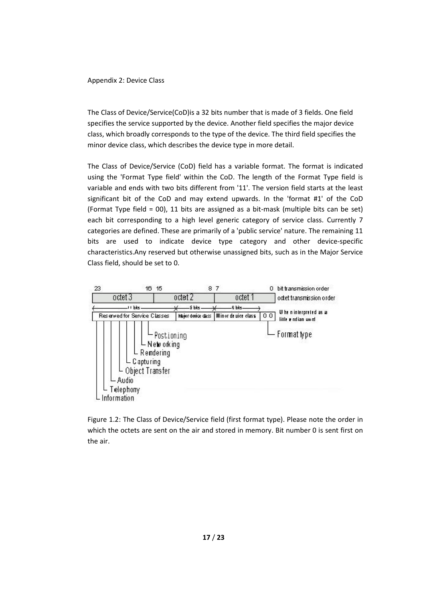Appendix 2: Device Class

The Class of Device/Service(CoD)is a 32 bits number that is made of 3 fields. One field specifies the service supported by the device. Another field specifies the major device class, which broadly corresponds to the type of the device. The third field specifies the minor device class, which describes the device type in more detail.

The Class of Device/Service (CoD) field has a variable format. The format is indicated using the 'Format Type field' within the CoD. The length of the Format Type field is variable and ends with two bits different from '11'. The version field starts at the least significant bit of the CoD and may extend upwards. In the 'format #1' of the CoD (Format Type field = 00), 11 bits are assigned as a bit-mask (multiple bits can be set) each bit corresponding to a high level generic category of service class. Currently 7 categories are defined. These are primarily of a 'public service' nature. The remaining 11 bits are used to indicate device type category and other device-specific characteristics.Any reserved but otherwise unassigned bits, such as in the Major Service Class field, should be set to 0.



Figure 1.2: The Class of Device/Service field (first format type). Please note the order in which the octets are sent on the air and stored in memory. Bit number 0 is sent first on the air.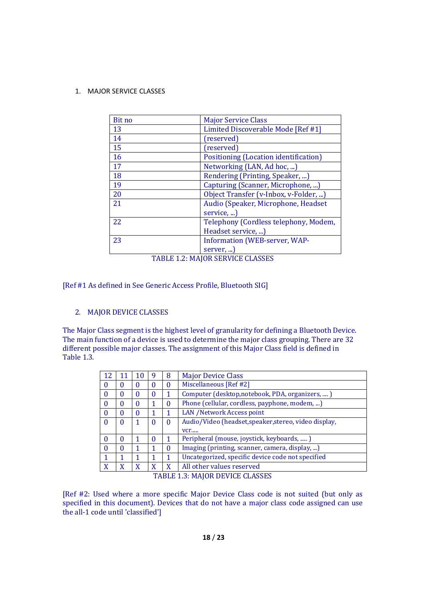1. MAJOR SERVICE CLASSES

| Bit no | <b>Major Service Class</b>            |
|--------|---------------------------------------|
| 13     | Limited Discoverable Mode [Ref #1]    |
| 14     | (reserved)                            |
| 15     | (reserved)                            |
| 16     | Positioning (Location identification) |
| 17     | Networking (LAN, Ad hoc, )            |
| 18     | Rendering (Printing, Speaker, )       |
| 19     | Capturing (Scanner, Microphone, )     |
| 20     | Object Transfer (v-Inbox, v-Folder, ) |
| 21     | Audio (Speaker, Microphone, Headset   |
|        | service,                              |
| 22     | Telephony (Cordless telephony, Modem, |
|        | Headset service, )                    |
| 23     | <b>Information (WEB-server, WAP-</b>  |
|        | server,                               |

TABLE 1.2: MAJOR SERVICE CLASSES

[Ref #1 As defined in See Generic Access Profile, Bluetooth SIG]

# 2. MAJOR DEVICE CLASSES

The Major Class segment is the highest level of granularity for defining a Bluetooth Device. The main function of a device is used to determine the major class grouping. There are 32 different possible major classes. The assignment of this Major Class field is defined in Table 1.3.

| 12       |          | 10 | Ÿ | 8        | <b>Major Device Class</b>                             |
|----------|----------|----|---|----------|-------------------------------------------------------|
| $\bf{0}$ | $\Omega$ |    | 0 | $\theta$ | Miscellaneous [Ref #2]                                |
| $\Omega$ | 0        |    | 0 |          | Computer (desktop, notebook, PDA, organizers, )       |
| $\bf{0}$ | 0        |    |   | 0        | Phone (cellular, cordless, payphone, modem, )         |
| $\theta$ | $\theta$ | 0  |   |          | LAN /Network Access point                             |
| $\Omega$ | $\Omega$ |    | 0 | $\theta$ | Audio/Video (headset, speaker, stereo, video display, |
|          |          |    |   |          | vcr                                                   |
| $\Omega$ | 0        |    | 0 |          | Peripheral (mouse, joystick, keyboards, )             |
| 0        | $\Omega$ |    |   | 0        | Imaging (printing, scanner, camera, display, )        |
|          |          |    |   |          | Uncategorized, specific device code not specified     |
| X        | X        | X  | X | X        | All other values reserved                             |

TABLE 1.3: MAJOR DEVICE CLASSES

[Ref #2: Used where a more specific Major Device Class code is not suited (but only as specified in this document). Devices that do not have a major class code assigned can use the all-1 code until 'classified']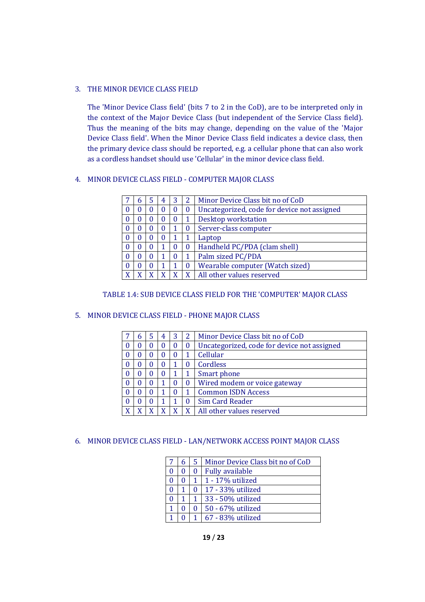## 3. THE MINOR DEVICE CLASS FIELD

The 'Minor Device Class field' (bits 7 to 2 in the CoD), are to be interpreted only in the context of the Major Device Class (but independent of the Service Class field). Thus the meaning of the bits may change, depending on the value of the 'Major Device Class field'. When the Minor Device Class field indicates a device class, then the primary device class should be reported, e.g. a cellular phone that can also work as a cordless handset should use 'Cellular' in the minor device class field.

## 4. MINOR DEVICE CLASS FIELD - COMPUTER MAJOR CLASS

|   | h | 4 | 3 | 2 | Minor Device Class bit no of CoD            |
|---|---|---|---|---|---------------------------------------------|
|   |   | O | O | 0 | Uncategorized, code for device not assigned |
|   |   |   | O |   | Desktop workstation                         |
|   |   | O |   |   | Server-class computer                       |
|   |   | O |   |   | Laptop                                      |
|   |   |   | 0 | 0 | Handheld PC/PDA (clam shell)                |
|   |   |   | 0 |   | Palm sized PC/PDA                           |
|   |   |   |   |   | Wearable computer (Watch sized)             |
| v |   |   |   |   | All other values reserved                   |

#### TABLE 1.4: SUB DEVICE CLASS FIELD FOR THE 'COMPUTER' MAJOR CLASS

#### 5. MINOR DEVICE CLASS FIELD - PHONE MAJOR CLASS

|   | h |   | 4 | 3            | 2        | Minor Device Class bit no of CoD            |
|---|---|---|---|--------------|----------|---------------------------------------------|
|   |   |   | U | O            | $\bf{0}$ | Uncategorized, code for device not assigned |
|   |   |   | O | O            |          | Cellular                                    |
|   |   |   | 0 |              | O        | Cordless                                    |
|   |   |   | O | 1            |          | Smart phone                                 |
|   |   | 0 |   | $\mathbf{0}$ | $\theta$ | Wired modem or voice gateway                |
|   |   |   |   |              |          | <b>Common ISDN Access</b>                   |
|   |   |   |   |              | 0        | Sim Card Reader                             |
| v |   |   |   |              | X        | All other values reserved                   |

# 6. MINOR DEVICE CLASS FIELD - LAN/NETWORK ACCESS POINT MAJOR CLASS

|  | 5            | Minor Device Class bit no of CoD |
|--|--------------|----------------------------------|
|  | 0            | <b>Fully available</b>           |
|  |              | $1 - 17\%$ utilized              |
|  | $_{0}$       | 17 - 33% utilized                |
|  | $\mathbf{1}$ | 33 - 50% utilized                |
|  | 0            | 50 - 67% utilized                |
|  |              | 67 - 83% utilized                |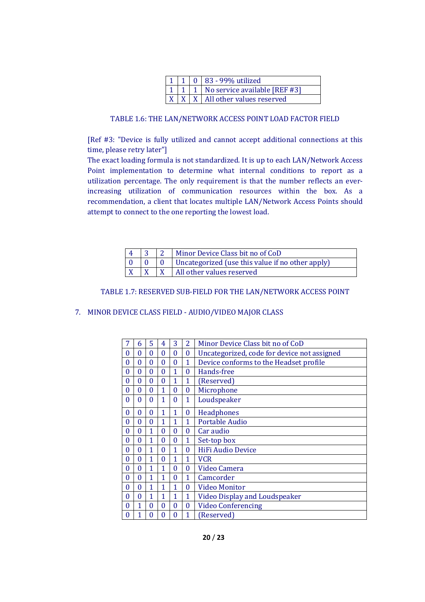|  | $1 \mid 1 \mid 0 \mid 83 - 99\%$ utilized         |
|--|---------------------------------------------------|
|  | 1   1   No service available [REF #3]             |
|  | $\vert X \vert X \vert$ All other values reserved |

#### TABLE 1.6: THE LAN/NETWORK ACCESS POINT LOAD FACTOR FIELD

[Ref #3: "Device is fully utilized and cannot accept additional connections at this time, please retry later"]

The exact loading formula is not standardized. It is up to each LAN/Network Access Point implementation to determine what internal conditions to report as a utilization percentage. The only requirement is that the number reflects an everincreasing utilization of communication resources within the box. As a recommendation, a client that locates multiple LAN/Network Access Points should attempt to connect to the one reporting the lowest load.

|  | Minor Device Class bit no of CoD                 |
|--|--------------------------------------------------|
|  | Uncategorized (use this value if no other apply) |
|  | All other values reserved                        |

#### TABLE 1.7: RESERVED SUB-FIELD FOR THE LAN/NETWORK ACCESS POINT

#### 7. MINOR DEVICE CLASS FIELD - AUDIO/VIDEO MAJOR CLASS

| 7            | 6              | 5            | 4        | 3            | $\overline{2}$ | Minor Device Class bit no of CoD            |
|--------------|----------------|--------------|----------|--------------|----------------|---------------------------------------------|
| $\theta$     | 0              | $\Omega$     | $\theta$ | $\theta$     | $\bf{0}$       | Uncategorized, code for device not assigned |
| 0            | $\overline{0}$ | $\Omega$     | $\theta$ | $\theta$     | $\mathbf 1$    | Device conforms to the Headset profile      |
| 0            | $\mathbf{0}$   | $\mathbf{0}$ | $\theta$ | 1            | $\theta$       | Hands-free                                  |
| 0            | $\mathbf{0}$   | $\theta$     | $\theta$ | 1            | 1              | (Reserved)                                  |
| 0            | $\bf{0}$       | $\theta$     | 1        | 0            | $\bf{0}$       | Microphone                                  |
| $\theta$     | $\Omega$       | $\Omega$     | 1        | $\theta$     | $\mathbf{1}$   | Loudspeaker                                 |
| $\theta$     | $\theta$       | $\Omega$     | 1        | 1            | $\bf{0}$       | Headphones                                  |
| $\theta$     | 0              | $\theta$     | 1        | 1            | 1              | <b>Portable Audio</b>                       |
| $\theta$     | $\Omega$       | 1            | $\theta$ | $\theta$     | $\theta$       | Car audio                                   |
| $\theta$     | $\Omega$       | 1            | $\Omega$ | $\mathbf{0}$ | $\mathbf 1$    | Set-top box                                 |
| $\theta$     | $\bf{0}$       | 1            | $\Omega$ | 1            | $\theta$       | <b>HiFi Audio Device</b>                    |
| 0            | $\Omega$       | 1            | $\Omega$ | 1            | 1              | <b>VCR</b>                                  |
| $\mathbf{0}$ | $\Omega$       | 1            | 1        | 0            | $\bf{0}$       | Video Camera                                |
| 0            | $\Omega$       | 1            | 1        | 0            | 1              | Camcorder                                   |
| $\theta$     | $\overline{0}$ | 1            | 1        | 1            | $\theta$       | <b>Video Monitor</b>                        |
| $\theta$     | $\Omega$       | 1            | 1        | 1            | $\mathbf 1$    | <b>Video Display and Loudspeaker</b>        |
| 0            | 1              | $\Omega$     | $\Omega$ | $\theta$     | $\bf{0}$       | <b>Video Conferencing</b>                   |
| 0            | 1              | 0            | 0        | 0            | 1              | (Reserved)                                  |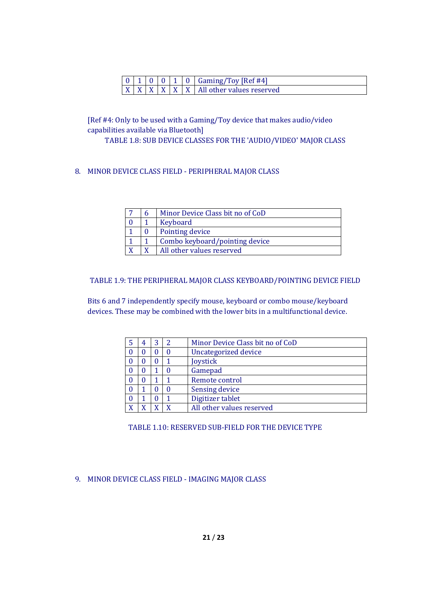|  |  |  | $0 \mid 1 \mid 0 \mid 0 \mid 1 \mid 0$ Gaming/Toy [Ref #4]       |
|--|--|--|------------------------------------------------------------------|
|  |  |  | $X \mid X \mid X \mid X \mid X \mid X$ All other values reserved |

[Ref #4: Only to be used with a Gaming/Toy device that makes audio/video capabilities available via Bluetooth]

TABLE 1.8: SUB DEVICE CLASSES FOR THE 'AUDIO/VIDEO' MAJOR CLASS

8. MINOR DEVICE CLASS FIELD - PERIPHERAL MAJOR CLASS

|  | Minor Device Class bit no of CoD |
|--|----------------------------------|
|  | Keyboard                         |
|  | Pointing device                  |
|  | Combo keyboard/pointing device   |
|  | All other values reserved        |

# TABLE 1.9: THE PERIPHERAL MAJOR CLASS KEYBOARD/POINTING DEVICE FIELD

Bits 6 and 7 independently specify mouse, keyboard or combo mouse/keyboard devices. These may be combined with the lower bits in a multifunctional device.

|   | 4 | 3 | Minor Device Class bit no of CoD |
|---|---|---|----------------------------------|
|   | U | O | Uncategorized device             |
|   | 0 | 0 | Joystick                         |
|   | D |   | Gamepad                          |
|   | 0 |   | Remote control                   |
|   |   |   | Sensing device                   |
| 0 |   |   | Digitizer tablet                 |
|   |   |   | All other values reserved        |

TABLE 1.10: RESERVED SUB-FIELD FOR THE DEVICE TYPE

9. MINOR DEVICE CLASS FIELD - IMAGING MAJOR CLASS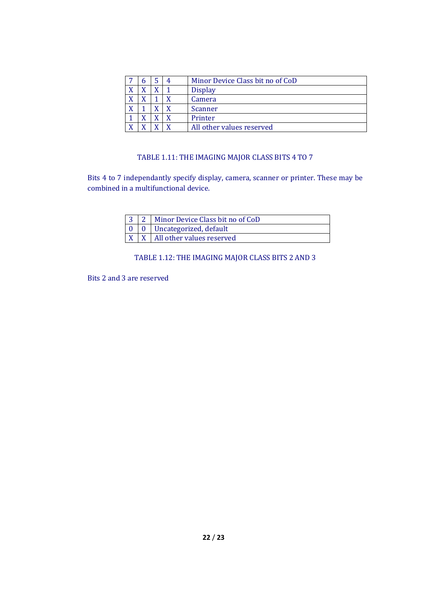|           |  | Minor Device Class bit no of CoD |
|-----------|--|----------------------------------|
| $\Lambda$ |  | <b>Display</b>                   |
| $\Lambda$ |  | Camera                           |
| $\Lambda$ |  | Scanner                          |
|           |  | Printer                          |
| τz        |  | All other values reserved        |

# TABLE 1.11: THE IMAGING MAJOR CLASS BITS 4 TO 7

Bits 4 to 7 independantly specify display, camera, scanner or printer. These may be combined in a multifunctional device.

|  | 3   2   Minor Device Class bit no of CoD |  |  |  |
|--|------------------------------------------|--|--|--|
|  | $0 \mid 0$ Uncategorized, default        |  |  |  |
|  | $X \mid X$ All other values reserved     |  |  |  |

# TABLE 1.12: THE IMAGING MAJOR CLASS BITS 2 AND 3

Bits 2 and 3 are reserved